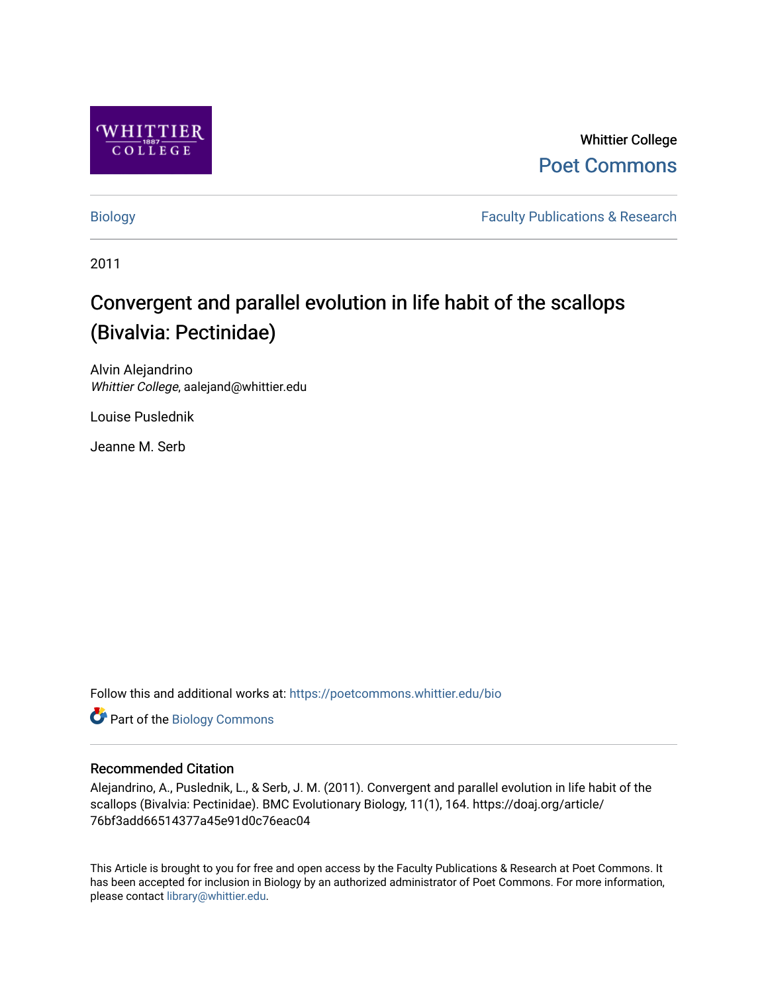

Whittier College [Poet Commons](https://poetcommons.whittier.edu/) 

[Biology](https://poetcommons.whittier.edu/bio) **Faculty Publications & Research** 

2011

# Convergent and parallel evolution in life habit of the scallops (Bivalvia: Pectinidae)

Alvin Alejandrino Whittier College, aalejand@whittier.edu

Louise Puslednik

Jeanne M. Serb

Follow this and additional works at: [https://poetcommons.whittier.edu/bio](https://poetcommons.whittier.edu/bio?utm_source=poetcommons.whittier.edu%2Fbio%2F6&utm_medium=PDF&utm_campaign=PDFCoverPages)

Part of the [Biology Commons](http://network.bepress.com/hgg/discipline/41?utm_source=poetcommons.whittier.edu%2Fbio%2F6&utm_medium=PDF&utm_campaign=PDFCoverPages) 

## Recommended Citation

Alejandrino, A., Puslednik, L., & Serb, J. M. (2011). Convergent and parallel evolution in life habit of the scallops (Bivalvia: Pectinidae). BMC Evolutionary Biology, 11(1), 164. https://doaj.org/article/ 76bf3add66514377a45e91d0c76eac04

This Article is brought to you for free and open access by the Faculty Publications & Research at Poet Commons. It has been accepted for inclusion in Biology by an authorized administrator of Poet Commons. For more information, please contact [library@whittier.edu](mailto:library@whittier.edu).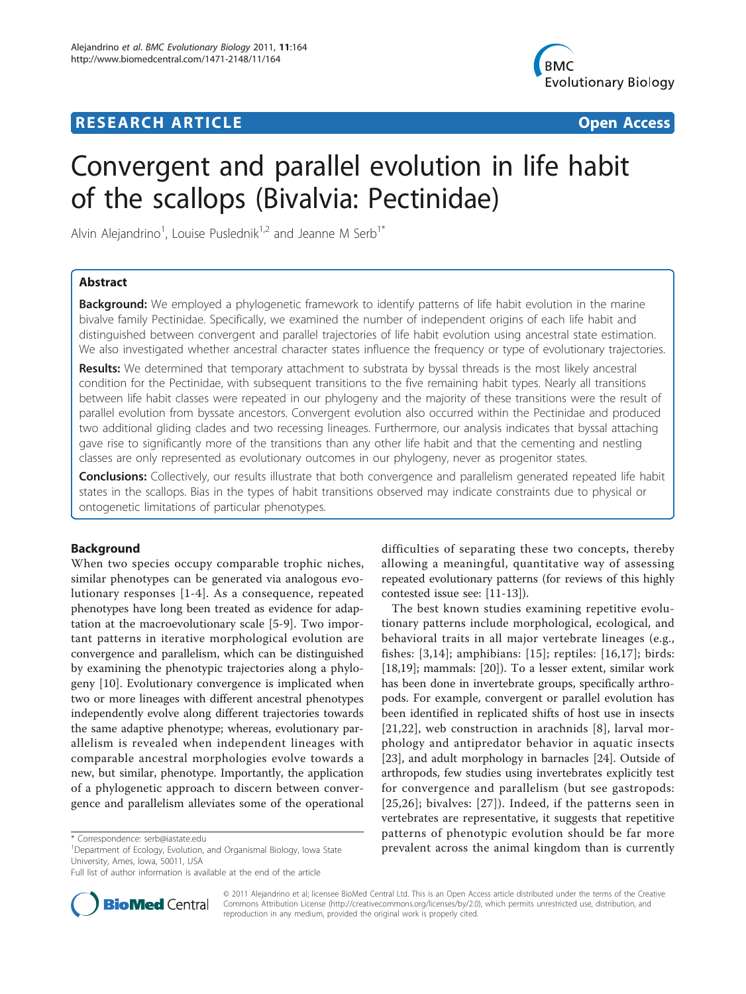# **RESEARCH ARTICLE Example 2014 CONSUMING ACCESS**



# Convergent and parallel evolution in life habit of the scallops (Bivalvia: Pectinidae)

Alvin Alejandrino<sup>1</sup>, Louise Puslednik<sup>1,2</sup> and Jeanne M Serb<sup>1\*</sup>

### Abstract

**Background:** We employed a phylogenetic framework to identify patterns of life habit evolution in the marine bivalve family Pectinidae. Specifically, we examined the number of independent origins of each life habit and distinguished between convergent and parallel trajectories of life habit evolution using ancestral state estimation. We also investigated whether ancestral character states influence the frequency or type of evolutionary trajectories.

Results: We determined that temporary attachment to substrata by byssal threads is the most likely ancestral condition for the Pectinidae, with subsequent transitions to the five remaining habit types. Nearly all transitions between life habit classes were repeated in our phylogeny and the majority of these transitions were the result of parallel evolution from byssate ancestors. Convergent evolution also occurred within the Pectinidae and produced two additional gliding clades and two recessing lineages. Furthermore, our analysis indicates that byssal attaching gave rise to significantly more of the transitions than any other life habit and that the cementing and nestling classes are only represented as evolutionary outcomes in our phylogeny, never as progenitor states.

**Conclusions:** Collectively, our results illustrate that both convergence and parallelism generated repeated life habit states in the scallops. Bias in the types of habit transitions observed may indicate constraints due to physical or ontogenetic limitations of particular phenotypes.

#### Background

When two species occupy comparable trophic niches, similar phenotypes can be generated via analogous evolutionary responses [[1](#page-7-0)-[4](#page-7-0)]. As a consequence, repeated phenotypes have long been treated as evidence for adaptation at the macroevolutionary scale [[5-9](#page-8-0)]. Two important patterns in iterative morphological evolution are convergence and parallelism, which can be distinguished by examining the phenotypic trajectories along a phylogeny [\[10](#page-8-0)]. Evolutionary convergence is implicated when two or more lineages with different ancestral phenotypes independently evolve along different trajectories towards the same adaptive phenotype; whereas, evolutionary parallelism is revealed when independent lineages with comparable ancestral morphologies evolve towards a new, but similar, phenotype. Importantly, the application of a phylogenetic approach to discern between convergence and parallelism alleviates some of the operational



The best known studies examining repetitive evolutionary patterns include morphological, ecological, and behavioral traits in all major vertebrate lineages (e.g., fishes: [[3](#page-7-0)[,14\]](#page-8-0); amphibians: [[15](#page-8-0)]; reptiles: [[16](#page-8-0),[17\]](#page-8-0); birds: [[18,19\]](#page-8-0); mammals: [\[20](#page-8-0)]). To a lesser extent, similar work has been done in invertebrate groups, specifically arthropods. For example, convergent or parallel evolution has been identified in replicated shifts of host use in insects [[21](#page-8-0),[22\]](#page-8-0), web construction in arachnids [[8\]](#page-8-0), larval morphology and antipredator behavior in aquatic insects [[23\]](#page-8-0), and adult morphology in barnacles [[24\]](#page-8-0). Outside of arthropods, few studies using invertebrates explicitly test for convergence and parallelism (but see gastropods: [[25](#page-8-0),[26](#page-8-0)]; bivalves: [[27](#page-8-0)]). Indeed, if the patterns seen in vertebrates are representative, it suggests that repetitive patterns of phenotypic evolution should be far more orrespondence: [serb@iastate.edu](mailto:serb@iastate.edu)<br>
<sup>1</sup>Department of Ecology, Evolution, and Organismal Biology, Iowa State **brevalent across the animal kingdom than is currently** 



© 2011 Alejandrino et al; licensee BioMed Central Ltd. This is an Open Access article distributed under the terms of the Creative Commons Attribution License [\(http://creativecommons.org/licenses/by/2.0](http://creativecommons.org/licenses/by/2.0)), which permits unrestricted use, distribution, and reproduction in any medium, provided the original work is properly cited.

<sup>&</sup>lt;sup>1</sup>Department of Ecology, Evolution, and Organismal Biology, Iowa State University, Ames, Iowa, 50011, USA

Full list of author information is available at the end of the article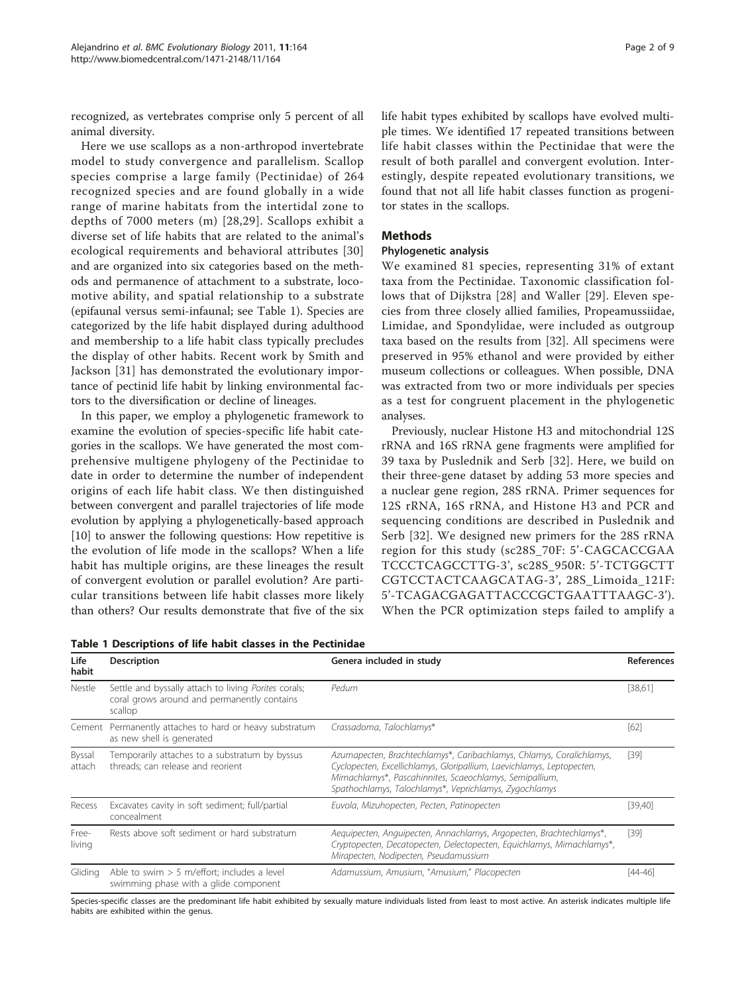<span id="page-2-0"></span>recognized, as vertebrates comprise only 5 percent of all animal diversity.

Here we use scallops as a non-arthropod invertebrate model to study convergence and parallelism. Scallop species comprise a large family (Pectinidae) of 264 recognized species and are found globally in a wide range of marine habitats from the intertidal zone to depths of 7000 meters (m) [[28](#page-8-0),[29](#page-8-0)]. Scallops exhibit a diverse set of life habits that are related to the animal's ecological requirements and behavioral attributes [[30](#page-8-0)] and are organized into six categories based on the methods and permanence of attachment to a substrate, locomotive ability, and spatial relationship to a substrate (epifaunal versus semi-infaunal; see Table 1). Species are categorized by the life habit displayed during adulthood and membership to a life habit class typically precludes the display of other habits. Recent work by Smith and Jackson [\[31](#page-8-0)] has demonstrated the evolutionary importance of pectinid life habit by linking environmental factors to the diversification or decline of lineages.

In this paper, we employ a phylogenetic framework to examine the evolution of species-specific life habit categories in the scallops. We have generated the most comprehensive multigene phylogeny of the Pectinidae to date in order to determine the number of independent origins of each life habit class. We then distinguished between convergent and parallel trajectories of life mode evolution by applying a phylogenetically-based approach [[10\]](#page-8-0) to answer the following questions: How repetitive is the evolution of life mode in the scallops? When a life habit has multiple origins, are these lineages the result of convergent evolution or parallel evolution? Are particular transitions between life habit classes more likely than others? Our results demonstrate that five of the six

Table 1 Descriptions of life habit classes in the Pectinidae

life habit types exhibited by scallops have evolved multiple times. We identified 17 repeated transitions between life habit classes within the Pectinidae that were the result of both parallel and convergent evolution. Interestingly, despite repeated evolutionary transitions, we found that not all life habit classes function as progenitor states in the scallops.

#### Methods

#### Phylogenetic analysis

We examined 81 species, representing 31% of extant taxa from the Pectinidae. Taxonomic classification follows that of Dijkstra [\[28](#page-8-0)] and Waller [[29\]](#page-8-0). Eleven species from three closely allied families, Propeamussiidae, Limidae, and Spondylidae, were included as outgroup taxa based on the results from [[32\]](#page-8-0). All specimens were preserved in 95% ethanol and were provided by either museum collections or colleagues. When possible, DNA was extracted from two or more individuals per species as a test for congruent placement in the phylogenetic analyses.

Previously, nuclear Histone H3 and mitochondrial 12S rRNA and 16S rRNA gene fragments were amplified for 39 taxa by Puslednik and Serb [[32](#page-8-0)]. Here, we build on their three-gene dataset by adding 53 more species and a nuclear gene region, 28S rRNA. Primer sequences for 12S rRNA, 16S rRNA, and Histone H3 and PCR and sequencing conditions are described in Puslednik and Serb [[32](#page-8-0)]. We designed new primers for the 28S rRNA region for this study (sc28S\_70F: 5'-CAGCACCGAA TCCCTCAGCCTTG-3', sc28S\_950R: 5'-TCTGGCTT CGTCCTACTCAAGCATAG-3', 28S\_Limoida\_121F: 5'-TCAGACGAGATTACCCGCTGAATTTAAGC-3'). When the PCR optimization steps failed to amplify a

| Life<br>habit    | <b>Description</b>                                                                                             | Genera included in study                                                                                                                                                                                                                                           | References  |
|------------------|----------------------------------------------------------------------------------------------------------------|--------------------------------------------------------------------------------------------------------------------------------------------------------------------------------------------------------------------------------------------------------------------|-------------|
| Nestle           | Settle and byssally attach to living Porites corals;<br>coral grows around and permanently contains<br>scallop | Pedum                                                                                                                                                                                                                                                              | [38,61]     |
| Cement           | Permanently attaches to hard or heavy substratum<br>as new shell is generated                                  | Crassadoma, Talochlamys*                                                                                                                                                                                                                                           | [62]        |
| Byssal<br>attach | Temporarily attaches to a substratum by byssus<br>threads; can release and reorient                            | Azumapecten, Brachtechlamys*, Caribachlamys, Chlamys, Coralichlamys,<br>Cyclopecten, Excellichlamys, Gloripallium, Laevichlamys, Leptopecten,<br>Mimachlamys*, Pascahinnites, Scaeochlamys, Semipallium,<br>Spathochlamys, Talochlamys*, Veprichlamys, Zygochlamys | $[39]$      |
| Recess           | Excavates cavity in soft sediment; full/partial<br>concealment                                                 | Euvola, Mizuhopecten, Pecten, Patinopecten                                                                                                                                                                                                                         | [39,40]     |
| Free-<br>living  | Rests above soft sediment or hard substratum                                                                   | Aequipecten, Anguipecten, Annachlamys, Argopecten, Brachtechlamys*,<br>Cryptopecten, Decatopecten, Delectopecten, Equichlamys, Mimachlamys*,<br>Mirapecten, Nodipecten, Pseudamussium                                                                              | $[39]$      |
| Gliding          | Able to swim $> 5$ m/effort; includes a level<br>swimming phase with a glide component                         | Adamussium, Amusium, "Amusium," Placopecten                                                                                                                                                                                                                        | $[44 - 46]$ |

Species-specific classes are the predominant life habit exhibited by sexually mature individuals listed from least to most active. An asterisk indicates multiple life habits are exhibited within the genus.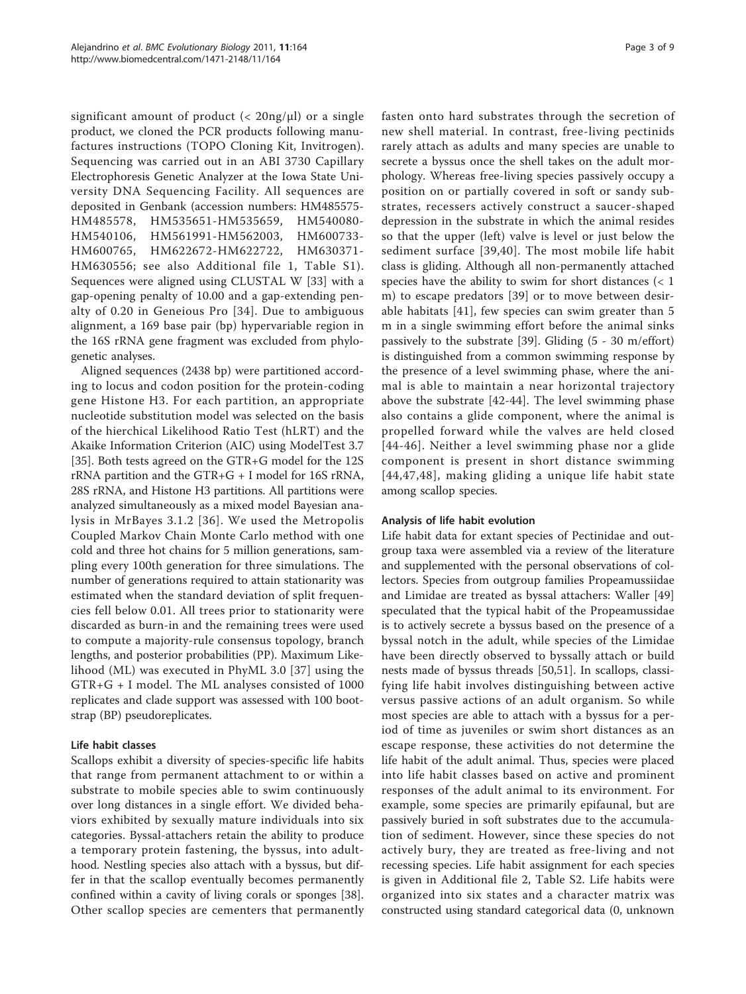significant amount of product  $\langle$  20ng/ $\mu$ l) or a single product, we cloned the PCR products following manufactures instructions (TOPO Cloning Kit, Invitrogen). Sequencing was carried out in an ABI 3730 Capillary Electrophoresis Genetic Analyzer at the Iowa State University DNA Sequencing Facility. All sequences are deposited in Genbank (accession numbers: [HM485575-](http://www.ncbi.nih.gov/entrez/query.fcgi?db=Nucleotide&cmd=search&term=HM485575) [HM485578](http://www.ncbi.nih.gov/entrez/query.fcgi?db=Nucleotide&cmd=search&term=HM485578), [HM535651-](http://www.ncbi.nih.gov/entrez/query.fcgi?db=Nucleotide&cmd=search&term=HM535651)[HM535659,](http://www.ncbi.nih.gov/entrez/query.fcgi?db=Nucleotide&cmd=search&term=HM535659) [HM540080-](http://www.ncbi.nih.gov/entrez/query.fcgi?db=Nucleotide&cmd=search&term=HM540080) [HM540106](http://www.ncbi.nih.gov/entrez/query.fcgi?db=Nucleotide&cmd=search&term=HM540106), [HM561991-](http://www.ncbi.nih.gov/entrez/query.fcgi?db=Nucleotide&cmd=search&term=HM561991)[HM562003,](http://www.ncbi.nih.gov/entrez/query.fcgi?db=Nucleotide&cmd=search&term=HM562003) [HM600733-](http://www.ncbi.nih.gov/entrez/query.fcgi?db=Nucleotide&cmd=search&term=HM600733) [HM600765](http://www.ncbi.nih.gov/entrez/query.fcgi?db=Nucleotide&cmd=search&term=HM600765), [HM622672-](http://www.ncbi.nih.gov/entrez/query.fcgi?db=Nucleotide&cmd=search&term=HM622672)[HM622722,](http://www.ncbi.nih.gov/entrez/query.fcgi?db=Nucleotide&cmd=search&term=HM622722) [HM630371-](http://www.ncbi.nih.gov/entrez/query.fcgi?db=Nucleotide&cmd=search&term=HM630371) [HM630556](http://www.ncbi.nih.gov/entrez/query.fcgi?db=Nucleotide&cmd=search&term=HM630556); see also Additional file [1](#page-7-0), Table S1). Sequences were aligned using CLUSTAL W [\[33](#page-8-0)] with a gap-opening penalty of 10.00 and a gap-extending penalty of 0.20 in Geneious Pro [\[34\]](#page-8-0). Due to ambiguous alignment, a 169 base pair (bp) hypervariable region in the 16S rRNA gene fragment was excluded from phylogenetic analyses.

Aligned sequences (2438 bp) were partitioned according to locus and codon position for the protein-coding gene Histone H3. For each partition, an appropriate nucleotide substitution model was selected on the basis of the hierchical Likelihood Ratio Test (hLRT) and the Akaike Information Criterion (AIC) using ModelTest 3.7 [[35\]](#page-8-0). Both tests agreed on the GTR+G model for the 12S rRNA partition and the GTR+G + I model for 16S rRNA, 28S rRNA, and Histone H3 partitions. All partitions were analyzed simultaneously as a mixed model Bayesian analysis in MrBayes 3.1.2 [[36](#page-8-0)]. We used the Metropolis Coupled Markov Chain Monte Carlo method with one cold and three hot chains for 5 million generations, sampling every 100th generation for three simulations. The number of generations required to attain stationarity was estimated when the standard deviation of split frequencies fell below 0.01. All trees prior to stationarity were discarded as burn-in and the remaining trees were used to compute a majority-rule consensus topology, branch lengths, and posterior probabilities (PP). Maximum Likelihood (ML) was executed in PhyML 3.0 [[37](#page-8-0)] using the GTR+G + I model. The ML analyses consisted of 1000 replicates and clade support was assessed with 100 bootstrap (BP) pseudoreplicates.

### Life habit classes

Scallops exhibit a diversity of species-specific life habits that range from permanent attachment to or within a substrate to mobile species able to swim continuously over long distances in a single effort. We divided behaviors exhibited by sexually mature individuals into six categories. Byssal-attachers retain the ability to produce a temporary protein fastening, the byssus, into adulthood. Nestling species also attach with a byssus, but differ in that the scallop eventually becomes permanently confined within a cavity of living corals or sponges [\[38](#page-8-0)]. Other scallop species are cementers that permanently fasten onto hard substrates through the secretion of new shell material. In contrast, free-living pectinids rarely attach as adults and many species are unable to secrete a byssus once the shell takes on the adult morphology. Whereas free-living species passively occupy a position on or partially covered in soft or sandy substrates, recessers actively construct a saucer-shaped depression in the substrate in which the animal resides so that the upper (left) valve is level or just below the sediment surface [[39,40\]](#page-8-0). The most mobile life habit class is gliding. Although all non-permanently attached species have the ability to swim for short distances  $\langle$  < 1 m) to escape predators [[39](#page-8-0)] or to move between desirable habitats [[41](#page-8-0)], few species can swim greater than 5 m in a single swimming effort before the animal sinks passively to the substrate [\[39](#page-8-0)]. Gliding (5 - 30 m/effort) is distinguished from a common swimming response by the presence of a level swimming phase, where the animal is able to maintain a near horizontal trajectory above the substrate [\[42-44](#page-8-0)]. The level swimming phase also contains a glide component, where the animal is propelled forward while the valves are held closed [[44-46](#page-8-0)]. Neither a level swimming phase nor a glide component is present in short distance swimming [[44](#page-8-0),[47](#page-8-0),[48\]](#page-8-0), making gliding a unique life habit state among scallop species.

#### Analysis of life habit evolution

Life habit data for extant species of Pectinidae and outgroup taxa were assembled via a review of the literature and supplemented with the personal observations of collectors. Species from outgroup families Propeamussiidae and Limidae are treated as byssal attachers: Waller [\[49](#page-8-0)] speculated that the typical habit of the Propeamussidae is to actively secrete a byssus based on the presence of a byssal notch in the adult, while species of the Limidae have been directly observed to byssally attach or build nests made of byssus threads [[50](#page-8-0),[51\]](#page-8-0). In scallops, classifying life habit involves distinguishing between active versus passive actions of an adult organism. So while most species are able to attach with a byssus for a period of time as juveniles or swim short distances as an escape response, these activities do not determine the life habit of the adult animal. Thus, species were placed into life habit classes based on active and prominent responses of the adult animal to its environment. For example, some species are primarily epifaunal, but are passively buried in soft substrates due to the accumulation of sediment. However, since these species do not actively bury, they are treated as free-living and not recessing species. Life habit assignment for each species is given in Additional file [2,](#page-7-0) Table S2. Life habits were organized into six states and a character matrix was constructed using standard categorical data (0, unknown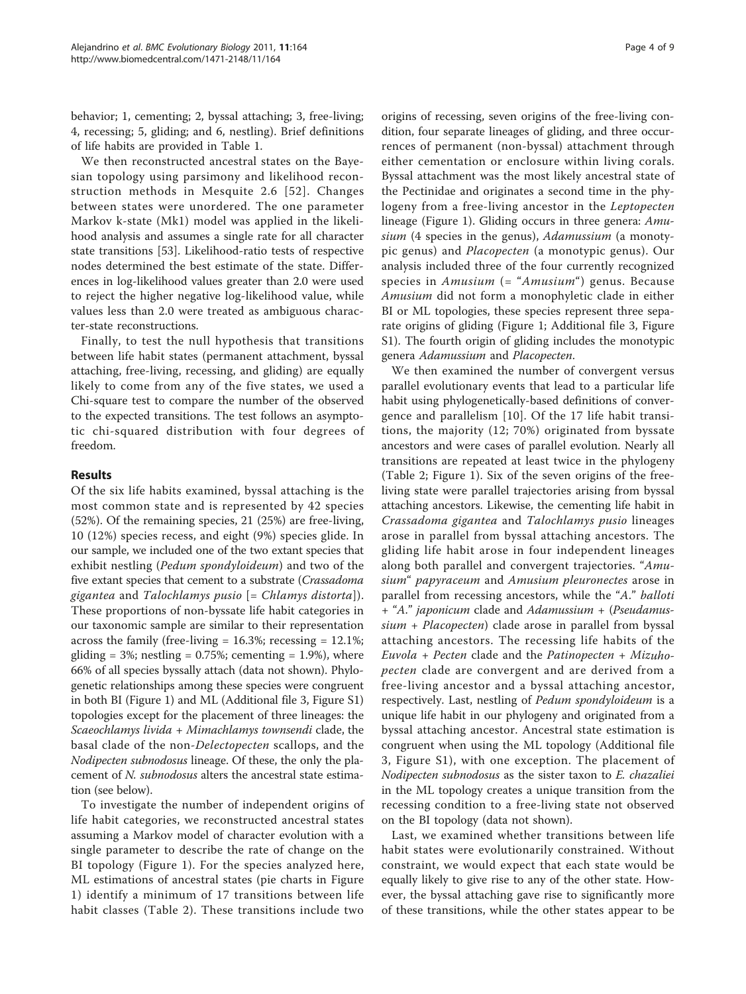behavior; 1, cementing; 2, byssal attaching; 3, free-living; 4, recessing; 5, gliding; and 6, nestling). Brief definitions of life habits are provided in Table [1.](#page-2-0)

We then reconstructed ancestral states on the Bayesian topology using parsimony and likelihood reconstruction methods in Mesquite 2.6 [[52](#page-8-0)]. Changes between states were unordered. The one parameter Markov k-state (Mk1) model was applied in the likelihood analysis and assumes a single rate for all character state transitions [[53\]](#page-8-0). Likelihood-ratio tests of respective nodes determined the best estimate of the state. Differences in log-likelihood values greater than 2.0 were used to reject the higher negative log-likelihood value, while values less than 2.0 were treated as ambiguous character-state reconstructions.

Finally, to test the null hypothesis that transitions between life habit states (permanent attachment, byssal attaching, free-living, recessing, and gliding) are equally likely to come from any of the five states, we used a Chi-square test to compare the number of the observed to the expected transitions. The test follows an asymptotic chi-squared distribution with four degrees of freedom.

#### Results

Of the six life habits examined, byssal attaching is the most common state and is represented by 42 species (52%). Of the remaining species, 21 (25%) are free-living, 10 (12%) species recess, and eight (9%) species glide. In our sample, we included one of the two extant species that exhibit nestling (Pedum spondyloideum) and two of the five extant species that cement to a substrate (Crassadoma gigantea and Talochlamys pusio [= Chlamys distorta]). These proportions of non-byssate life habit categories in our taxonomic sample are similar to their representation across the family (free-living  $= 16.3\%$ ; recessing  $= 12.1\%$ ; gliding =  $3\%$ ; nestling =  $0.75\%$ ; cementing =  $1.9\%$ ), where 66% of all species byssally attach (data not shown). Phylogenetic relationships among these species were congruent in both BI (Figure [1](#page-5-0)) and ML (Additional file [3,](#page-7-0) Figure S1) topologies except for the placement of three lineages: the Scaeochlamys livida + Mimachlamys townsendi clade, the basal clade of the non-Delectopecten scallops, and the Nodipecten subnodosus lineage. Of these, the only the placement of N. subnodosus alters the ancestral state estimation (see below).

To investigate the number of independent origins of life habit categories, we reconstructed ancestral states assuming a Markov model of character evolution with a single parameter to describe the rate of change on the BI topology (Figure [1](#page-5-0)). For the species analyzed here, ML estimations of ancestral states (pie charts in Figure [1\)](#page-5-0) identify a minimum of 17 transitions between life habit classes (Table [2](#page-6-0)). These transitions include two

origins of recessing, seven origins of the free-living condition, four separate lineages of gliding, and three occurrences of permanent (non-byssal) attachment through either cementation or enclosure within living corals. Byssal attachment was the most likely ancestral state of the Pectinidae and originates a second time in the phylogeny from a free-living ancestor in the Leptopecten lineage (Figure [1](#page-5-0)). Gliding occurs in three genera: Amusium (4 species in the genus), Adamussium (a monotypic genus) and Placopecten (a monotypic genus). Our analysis included three of the four currently recognized species in Amusium (= "Amusium") genus. Because Amusium did not form a monophyletic clade in either BI or ML topologies, these species represent three separate origins of gliding (Figure [1;](#page-5-0) Additional file [3](#page-7-0), Figure S1). The fourth origin of gliding includes the monotypic genera Adamussium and Placopecten.

We then examined the number of convergent versus parallel evolutionary events that lead to a particular life habit using phylogenetically-based definitions of convergence and parallelism [[10](#page-8-0)]. Of the 17 life habit transitions, the majority (12; 70%) originated from byssate ancestors and were cases of parallel evolution. Nearly all transitions are repeated at least twice in the phylogeny (Table [2;](#page-6-0) Figure [1](#page-5-0)). Six of the seven origins of the freeliving state were parallel trajectories arising from byssal attaching ancestors. Likewise, the cementing life habit in Crassadoma gigantea and Talochlamys pusio lineages arose in parallel from byssal attaching ancestors. The gliding life habit arose in four independent lineages along both parallel and convergent trajectories. "Amusium" papyraceum and Amusium pleuronectes arose in parallel from recessing ancestors, while the "A." balloti + "A." japonicum clade and Adamussium + (Pseudamussium + Placopecten) clade arose in parallel from byssal attaching ancestors. The recessing life habits of the  $Euvola + Pecten$  clade and the Patinopecten + Mizuhopecten clade are convergent and are derived from a free-living ancestor and a byssal attaching ancestor, respectively. Last, nestling of Pedum spondyloideum is a unique life habit in our phylogeny and originated from a byssal attaching ancestor. Ancestral state estimation is congruent when using the ML topology (Additional file [3](#page-7-0), Figure S1), with one exception. The placement of Nodipecten subnodosus as the sister taxon to E. chazaliei in the ML topology creates a unique transition from the recessing condition to a free-living state not observed on the BI topology (data not shown).

Last, we examined whether transitions between life habit states were evolutionarily constrained. Without constraint, we would expect that each state would be equally likely to give rise to any of the other state. However, the byssal attaching gave rise to significantly more of these transitions, while the other states appear to be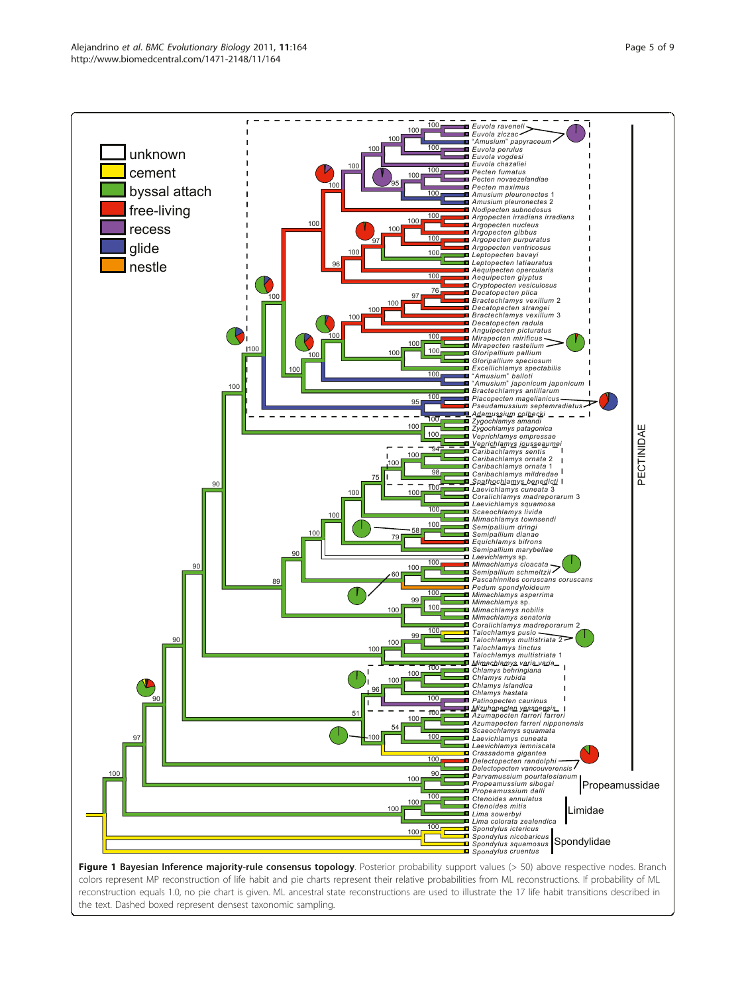<span id="page-5-0"></span>

Figure 1 Bayesian Inference majority-rule consensus topology. Posterior probability support values (> 50) above respective nodes. Branch colors represent MP reconstruction of life habit and pie charts represent their relative probabilities from ML reconstructions. If probability of ML reconstruction equals 1.0, no pie chart is given. ML ancestral state reconstructions are used to illustrate the 17 life habit transitions described in the text. Dashed boxed represent densest taxonomic sampling.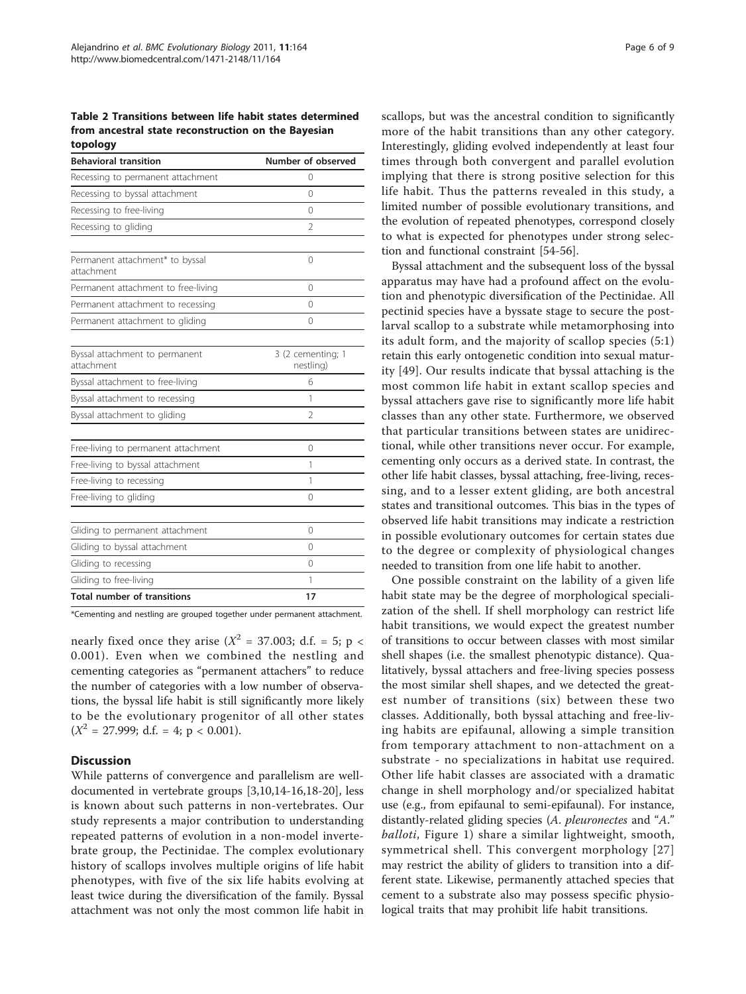<span id="page-6-0"></span>Table 2 Transitions between life habit states determined from ancestral state reconstruction on the Bayesian topology

| <b>Behavioral transition</b>                  | Number of observed             |
|-----------------------------------------------|--------------------------------|
| Recessing to permanent attachment             | $\Omega$                       |
| Recessing to byssal attachment                | 0                              |
| Recessing to free-living                      | 0                              |
| Recessing to gliding                          | $\overline{\mathcal{L}}$       |
| Permanent attachment* to byssal<br>attachment | 0                              |
| Permanent attachment to free-living           | 0                              |
| Permanent attachment to recessing             | $\bigcap$                      |
| Permanent attachment to gliding               | 0                              |
| Byssal attachment to permanent<br>attachment  | 3 (2 cementing; 1<br>nestling) |
| Byssal attachment to free-living              | 6                              |
| Byssal attachment to recessing                | 1                              |
| Byssal attachment to gliding                  | $\overline{\mathcal{L}}$       |
| Free-living to permanent attachment           | 0                              |
| Free-living to byssal attachment              | 1                              |
| Free-living to recessing                      | 1                              |
| Free-living to gliding                        | 0                              |
| Gliding to permanent attachment               | 0                              |
| Gliding to byssal attachment                  | 0                              |
| Gliding to recessing                          | 0                              |
| Gliding to free-living                        | 1                              |
| <b>Total number of transitions</b>            | 17                             |

\*Cementing and nestling are grouped together under permanent attachment.

nearly fixed once they arise ( $X^2 = 37.003$ ; d.f. = 5; p < 0.001). Even when we combined the nestling and cementing categories as "permanent attachers" to reduce the number of categories with a low number of observations, the byssal life habit is still significantly more likely to be the evolutionary progenitor of all other states  $(X^2 = 27.999; d.f. = 4; p < 0.001).$ 

#### **Discussion**

While patterns of convergence and parallelism are welldocumented in vertebrate groups [\[3](#page-7-0)[,10,14-16,18](#page-8-0)-[20](#page-8-0)], less is known about such patterns in non-vertebrates. Our study represents a major contribution to understanding repeated patterns of evolution in a non-model invertebrate group, the Pectinidae. The complex evolutionary history of scallops involves multiple origins of life habit phenotypes, with five of the six life habits evolving at least twice during the diversification of the family. Byssal attachment was not only the most common life habit in scallops, but was the ancestral condition to significantly more of the habit transitions than any other category. Interestingly, gliding evolved independently at least four times through both convergent and parallel evolution implying that there is strong positive selection for this life habit. Thus the patterns revealed in this study, a limited number of possible evolutionary transitions, and the evolution of repeated phenotypes, correspond closely to what is expected for phenotypes under strong selection and functional constraint [[54-56\]](#page-8-0).

Byssal attachment and the subsequent loss of the byssal apparatus may have had a profound affect on the evolution and phenotypic diversification of the Pectinidae. All pectinid species have a byssate stage to secure the postlarval scallop to a substrate while metamorphosing into its adult form, and the majority of scallop species (5:1) retain this early ontogenetic condition into sexual maturity [[49\]](#page-8-0). Our results indicate that byssal attaching is the most common life habit in extant scallop species and byssal attachers gave rise to significantly more life habit classes than any other state. Furthermore, we observed that particular transitions between states are unidirectional, while other transitions never occur. For example, cementing only occurs as a derived state. In contrast, the other life habit classes, byssal attaching, free-living, recessing, and to a lesser extent gliding, are both ancestral states and transitional outcomes. This bias in the types of observed life habit transitions may indicate a restriction in possible evolutionary outcomes for certain states due to the degree or complexity of physiological changes needed to transition from one life habit to another.

One possible constraint on the lability of a given life habit state may be the degree of morphological specialization of the shell. If shell morphology can restrict life habit transitions, we would expect the greatest number of transitions to occur between classes with most similar shell shapes (i.e. the smallest phenotypic distance). Qualitatively, byssal attachers and free-living species possess the most similar shell shapes, and we detected the greatest number of transitions (six) between these two classes. Additionally, both byssal attaching and free-living habits are epifaunal, allowing a simple transition from temporary attachment to non-attachment on a substrate - no specializations in habitat use required. Other life habit classes are associated with a dramatic change in shell morphology and/or specialized habitat use (e.g., from epifaunal to semi-epifaunal). For instance, distantly-related gliding species (A. *pleuronectes* and "A." balloti, Figure [1](#page-5-0)) share a similar lightweight, smooth, symmetrical shell. This convergent morphology [[27](#page-8-0)] may restrict the ability of gliders to transition into a different state. Likewise, permanently attached species that cement to a substrate also may possess specific physiological traits that may prohibit life habit transitions.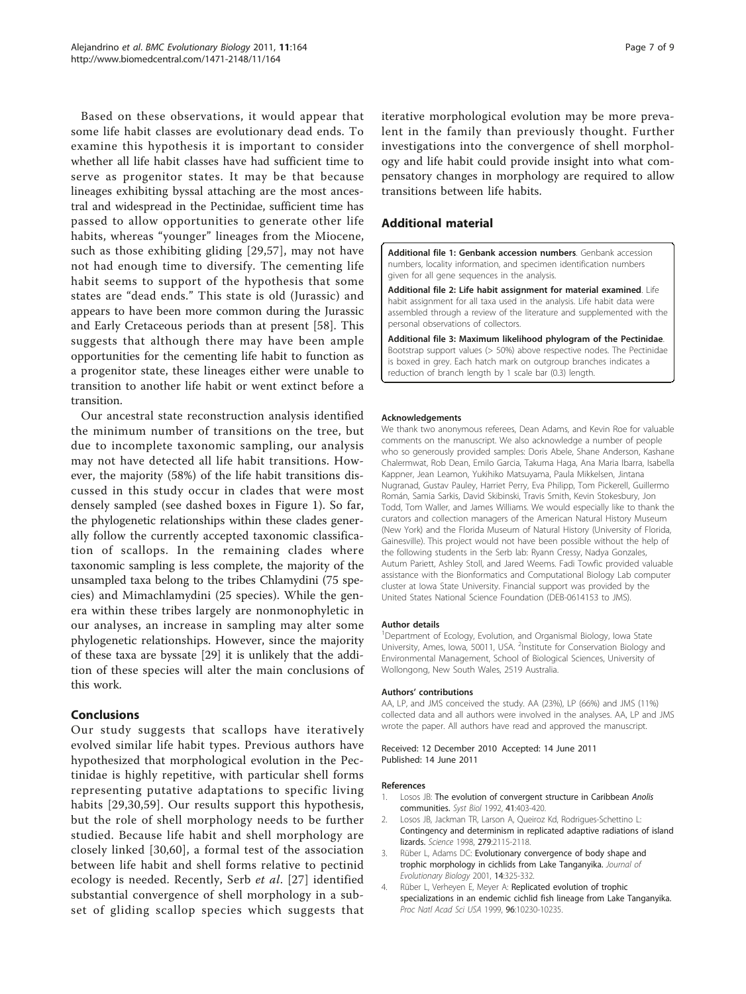<span id="page-7-0"></span>Based on these observations, it would appear that some life habit classes are evolutionary dead ends. To examine this hypothesis it is important to consider whether all life habit classes have had sufficient time to serve as progenitor states. It may be that because lineages exhibiting byssal attaching are the most ancestral and widespread in the Pectinidae, sufficient time has passed to allow opportunities to generate other life habits, whereas "younger" lineages from the Miocene, such as those exhibiting gliding [\[29,](#page-8-0)[57](#page-9-0)], may not have not had enough time to diversify. The cementing life habit seems to support of the hypothesis that some states are "dead ends." This state is old (Jurassic) and appears to have been more common during the Jurassic and Early Cretaceous periods than at present [\[58](#page-9-0)]. This suggests that although there may have been ample opportunities for the cementing life habit to function as a progenitor state, these lineages either were unable to transition to another life habit or went extinct before a transition.

Our ancestral state reconstruction analysis identified the minimum number of transitions on the tree, but due to incomplete taxonomic sampling, our analysis may not have detected all life habit transitions. However, the majority (58%) of the life habit transitions discussed in this study occur in clades that were most densely sampled (see dashed boxes in Figure [1](#page-5-0)). So far, the phylogenetic relationships within these clades generally follow the currently accepted taxonomic classification of scallops. In the remaining clades where taxonomic sampling is less complete, the majority of the unsampled taxa belong to the tribes Chlamydini (75 species) and Mimachlamydini (25 species). While the genera within these tribes largely are nonmonophyletic in our analyses, an increase in sampling may alter some phylogenetic relationships. However, since the majority of these taxa are byssate [[29](#page-8-0)] it is unlikely that the addition of these species will alter the main conclusions of this work.

#### Conclusions

Our study suggests that scallops have iteratively evolved similar life habit types. Previous authors have hypothesized that morphological evolution in the Pectinidae is highly repetitive, with particular shell forms representing putative adaptations to specific living habits [\[29,30](#page-8-0),[59\]](#page-9-0). Our results support this hypothesis, but the role of shell morphology needs to be further studied. Because life habit and shell morphology are closely linked [[30,](#page-8-0)[60\]](#page-9-0), a formal test of the association between life habit and shell forms relative to pectinid ecology is needed. Recently, Serb et al. [[27](#page-8-0)] identified substantial convergence of shell morphology in a subset of gliding scallop species which suggests that

iterative morphological evolution may be more prevalent in the family than previously thought. Further investigations into the convergence of shell morphology and life habit could provide insight into what compensatory changes in morphology are required to allow transitions between life habits.

#### Additional material

[Additional file 1: G](http://www.biomedcentral.com/content/supplementary/1471-2148-11-164-S1.DOCX)enbank accession numbers. Genbank accession numbers, locality information, and specimen identification numbers given for all gene sequences in the analysis.

[Additional file 2: L](http://www.biomedcentral.com/content/supplementary/1471-2148-11-164-S2.DOCX)ife habit assignment for material examined. Life habit assignment for all taxa used in the analysis. Life habit data were assembled through a review of the literature and supplemented with the personal observations of collectors.

[Additional file 3: M](http://www.biomedcentral.com/content/supplementary/1471-2148-11-164-S3.PDF)aximum likelihood phylogram of the Pectinidae. Bootstrap support values (> 50%) above respective nodes. The Pectinidae is boxed in grey. Each hatch mark on outgroup branches indicates a reduction of branch length by 1 scale bar (0.3) length.

#### Acknowledgements

We thank two anonymous referees, Dean Adams, and Kevin Roe for valuable comments on the manuscript. We also acknowledge a number of people who so generously provided samples: Doris Abele, Shane Anderson, Kashane Chalermwat, Rob Dean, Emilo Garcia, Takuma Haga, Ana Maria Ibarra, Isabella Kappner, Jean Leamon, Yukihiko Matsuyama, Paula Mikkelsen, Jintana Nugranad, Gustav Pauley, Harriet Perry, Eva Philipp, Tom Pickerell, Guillermo Román, Samia Sarkis, David Skibinski, Travis Smith, Kevin Stokesbury, Jon Todd, Tom Waller, and James Williams. We would especially like to thank the curators and collection managers of the American Natural History Museum (New York) and the Florida Museum of Natural History (University of Florida, Gainesville). This project would not have been possible without the help of the following students in the Serb lab: Ryann Cressy, Nadya Gonzales, Autum Pariett, Ashley Stoll, and Jared Weems. Fadi Towfic provided valuable assistance with the Bionformatics and Computational Biology Lab computer cluster at Iowa State University. Financial support was provided by the United States National Science Foundation (DEB-0614153 to JMS).

#### Author details

<sup>1</sup>Department of Ecology, Evolution, and Organismal Biology, Iowa State University, Ames, Iowa, 50011, USA. <sup>2</sup>Institute for Conservation Biology and Environmental Management, School of Biological Sciences, University of Wollongong, New South Wales, 2519 Australia.

#### Authors' contributions

AA, LP, and JMS conceived the study. AA (23%), LP (66%) and JMS (11%) collected data and all authors were involved in the analyses. AA, LP and JMS wrote the paper. All authors have read and approved the manuscript.

#### Received: 12 December 2010 Accepted: 14 June 2011 Published: 14 June 2011

#### References

- Losos JB: The evolution of convergent structure in Caribbean Anolis communities. Syst Biol 1992, 41:403-420.
- 2. Losos JB, Jackman TR, Larson A, Queiroz Kd, Rodrigues-Schettino L: [Contingency and determinism in replicated adaptive radiations of island](http://www.ncbi.nlm.nih.gov/pubmed/9516114?dopt=Abstract) [lizards.](http://www.ncbi.nlm.nih.gov/pubmed/9516114?dopt=Abstract) Science 1998, 279:2115-2118.
- 3. Rüber L, Adams DC: Evolutionary convergence of body shape and trophic morphology in cichlids from Lake Tanganyika. Journal of Evolutionary Biology 2001, 14:325-332.
- 4. Rüber L, Verheyen E, Meyer A: [Replicated evolution of trophic](http://www.ncbi.nlm.nih.gov/pubmed/10468591?dopt=Abstract) [specializations in an endemic cichlid fish lineage from Lake Tanganyika.](http://www.ncbi.nlm.nih.gov/pubmed/10468591?dopt=Abstract) Proc Natl Acad Sci USA 1999, 96:10230-10235.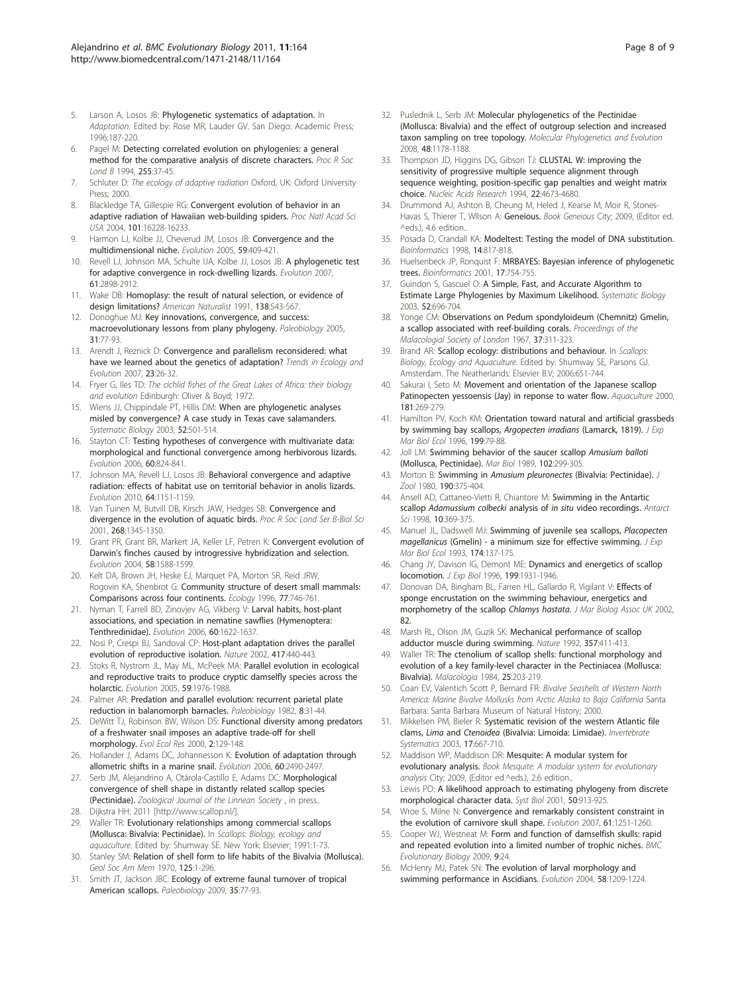- <span id="page-8-0"></span>5. Larson A, Losos JB: Phylogenetic systematics of adaptation. In Adaptation. Edited by: Rose MR, Lauder GV. San Diego: Academic Press; 1996:187-220.
- 6. Pagel M: Detecting correlated evolution on phylogenies: a general method for the comparative analysis of discrete characters. Proc R Soc Lond B 1994, 255:37-45.
- 7. Schluter D: The ecology of adaptive radiation Oxford, UK: Oxford University Press; 2000.
- Blackledge TA, Gillespie RG: [Convergent evolution of behavior in an](http://www.ncbi.nlm.nih.gov/pubmed/15520386?dopt=Abstract) [adaptive radiation of Hawaiian web-building spiders.](http://www.ncbi.nlm.nih.gov/pubmed/15520386?dopt=Abstract) Proc Natl Acad Sci USA 2004, 101:16228-16233.
- 9. Harmon LJ, Kolbe JJ, Cheverud JM, Losos JB: [Convergence and the](http://www.ncbi.nlm.nih.gov/pubmed/15807425?dopt=Abstract) [multidimensional niche.](http://www.ncbi.nlm.nih.gov/pubmed/15807425?dopt=Abstract) Evolution 2005, 59:409-421.
- 10. Revell LJ, Johnson MA, Schulte IJA, Kolbe JJ, Losos JB: [A phylogenetic test](http://www.ncbi.nlm.nih.gov/pubmed/17894806?dopt=Abstract) [for adaptive convergence in rock-dwelling lizards.](http://www.ncbi.nlm.nih.gov/pubmed/17894806?dopt=Abstract) Evolution 2007, 61:2898-2912.
- 11. Wake DB: Homoplasy: the result of natural selection, or evidence of design limitations? American Naturalist 1991, 138:543-567.
- 12. Donoghue MJ: Key innovations, convergence, and success: macroevolutionary lessons from plany phylogeny. Paleobiology 2005, 31:77-93.
- 13. Arendt J, Reznick D: [Convergence and parallelism reconsidered: what](http://www.ncbi.nlm.nih.gov/pubmed/18022278?dopt=Abstract) [have we learned about the genetics of adaptation?](http://www.ncbi.nlm.nih.gov/pubmed/18022278?dopt=Abstract) Trends in Ecology and Evolution 2007, 23:26-32.
- 14. Fryer G, Iles TD: The cichlid fishes of the Great Lakes of Africa: their biology and evolution Edinburgh: Oliver & Boyd; 1972.
- 15. Wiens JJ, Chippindale PT, Hillis DM: [When are phylogenetic analyses](http://www.ncbi.nlm.nih.gov/pubmed/12857641?dopt=Abstract) [misled by convergence? A case study in Texas cave salamanders.](http://www.ncbi.nlm.nih.gov/pubmed/12857641?dopt=Abstract) Systematic Biology 2003, 52:501-514.
- 16. Stayton CT: [Testing hypotheses of convergence with multivariate data:](http://www.ncbi.nlm.nih.gov/pubmed/16739463?dopt=Abstract) [morphological and functional convergence among herbivorous lizards.](http://www.ncbi.nlm.nih.gov/pubmed/16739463?dopt=Abstract) Evolution 2006, 60:824-841.
- 17. Johnson MA, Revell LJ, Losos JB: [Behavioral convergence and adaptive](http://www.ncbi.nlm.nih.gov/pubmed/19891624?dopt=Abstract) [radiation: effects of habitat use on territorial behavior in anolis lizards.](http://www.ncbi.nlm.nih.gov/pubmed/19891624?dopt=Abstract) Evolution 2010, 64:1151-1159.
- 18. Van Tuinen M, Butvill DB, Kirsch JAW, Hedges SB: Convergence and divergence in the evolution of aquatic birds. Proc R Soc Lond Ser B-Biol Sci 2001, 268:1345-1350.
- 19. Grant PR, Grant BR, Markert JA, Keller LF, Petren K: [Convergent evolution of](http://www.ncbi.nlm.nih.gov/pubmed/15341160?dopt=Abstract) Darwin'[s finches caused by introgressive hybridization and selection.](http://www.ncbi.nlm.nih.gov/pubmed/15341160?dopt=Abstract) Evolution 2004, 58:1588-1599.
- 20. Kelt DA, Brown JH, Heske EJ, Marquet PA, Morton SR, Reid JRW, Rogovin KA, Shenbrot G: Community structure of desert small mammals: Comparisons across four continents. Ecology 1996, 77:746-761.
- 21. Nyman T, Farrell BD, Zinovjev AG, Vikberg V: [Larval habits, host-plant](http://www.ncbi.nlm.nih.gov/pubmed/17017063?dopt=Abstract) [associations, and speciation in nematine sawflies \(Hymenoptera:](http://www.ncbi.nlm.nih.gov/pubmed/17017063?dopt=Abstract) [Tenthredinidae\).](http://www.ncbi.nlm.nih.gov/pubmed/17017063?dopt=Abstract) Evolution 2006, 60:1622-1637.
- 22. Nosi P, Crespi BJ, Sandoval CP: [Host-plant adaptation drives the parallel](http://www.ncbi.nlm.nih.gov/pubmed/12024213?dopt=Abstract) [evolution of reproductive isolation.](http://www.ncbi.nlm.nih.gov/pubmed/12024213?dopt=Abstract) Nature 2002, 417:440-443.
- 23. Stoks R, Nystrom JL, May ML, McPeek MA: [Parallel evolution in ecological](http://www.ncbi.nlm.nih.gov/pubmed/16261735?dopt=Abstract) [and reproductive traits to produce cryptic damselfly species across the](http://www.ncbi.nlm.nih.gov/pubmed/16261735?dopt=Abstract) [holarctic.](http://www.ncbi.nlm.nih.gov/pubmed/16261735?dopt=Abstract) Evolution 2005, 59:1976-1988.
- 24. Palmer AR: Predation and parallel evolution: recurrent parietal plate reduction in balanomorph barnacles. Paleobiology 1982, 8:31-44.
- 25. DeWitt TJ, Robinson BW, Wilson DS: Functional diversity among predators of a freshwater snail imposes an adaptive trade-off for shell morphology. Evol Ecol Res 2000, 2:129-148.
- 26. Hollander J, Adams DC, Johannesson K: [Evolution of adaptation through](http://www.ncbi.nlm.nih.gov/pubmed/17263111?dopt=Abstract) [allometric shifts in a marine snail.](http://www.ncbi.nlm.nih.gov/pubmed/17263111?dopt=Abstract) Evolution 2006, 60:2490-2497.
- 27. Serb JM, Alejandrino A, Otárola-Castillo E, Adams DC: Morphological convergence of shell shape in distantly related scallop species (Pectinidae). Zoological Journal of the Linnean Society , in press..
- 28. Dijkstra HH: 2011 [<http://www.scallop.nl/>].
- 29. Waller TR: Evolutionary relationships among commercial scallops (Mollusca: Bivalvia: Pectinidae). In Scallops: Biology, ecology and aquaculture. Edited by: Shumway SE. New York: Elsevier; 1991:1-73.
- 30. Stanley SM: Relation of shell form to life habits of the Bivalvia (Mollusca). Geol Soc Am Mem 1970, 125:1-296.
- 31. Smith JT, Jackson JBC: Ecology of extreme faunal turnover of tropical American scallops. Paleobiology 2009, 35:77-93.
- 32. Puslednik L, Serb JM: [Molecular phylogenetics of the Pectinidae](http://www.ncbi.nlm.nih.gov/pubmed/18579415?dopt=Abstract) [\(Mollusca: Bivalvia\) and the effect of outgroup selection and increased](http://www.ncbi.nlm.nih.gov/pubmed/18579415?dopt=Abstract) [taxon sampling on tree topology.](http://www.ncbi.nlm.nih.gov/pubmed/18579415?dopt=Abstract) Molecular Phylogenetics and Evolution 2008, 48:1178-1188.
- 33. Thompson JD, Higgins DG, Gibson TJ: [CLUSTAL W: improving the](http://www.ncbi.nlm.nih.gov/pubmed/7984417?dopt=Abstract) [sensitivity of progressive multiple sequence alignment through](http://www.ncbi.nlm.nih.gov/pubmed/7984417?dopt=Abstract) [sequence weighting, position-specific gap penalties and weight matrix](http://www.ncbi.nlm.nih.gov/pubmed/7984417?dopt=Abstract) [choice.](http://www.ncbi.nlm.nih.gov/pubmed/7984417?dopt=Abstract) Nucleic Acids Research 1994, 22:4673-4680.
- 34. Drummond AJ, Ashton B, Cheung M, Heled J, Kearse M, Moir R, Stones-Havas S, Thierer T, Wllson A: Geneious. Book Geneious City; 2009, (Editor ed. ^eds.), 4.6 edition..
- 35. Posada D, Crandall KA: [Modeltest: Testing the model of DNA substitution.](http://www.ncbi.nlm.nih.gov/pubmed/9918953?dopt=Abstract) Bioinformatics 1998, 14:817-818.
- 36. Huelsenbeck JP, Ronquist F: [MRBAYES: Bayesian inference of phylogenetic](http://www.ncbi.nlm.nih.gov/pubmed/11524383?dopt=Abstract) [trees.](http://www.ncbi.nlm.nih.gov/pubmed/11524383?dopt=Abstract) Bioinformatics 2001, 17:754-755.
- 37. Guindon S, Gascuel O: [A Simple, Fast, and Accurate Algorithm to](http://www.ncbi.nlm.nih.gov/pubmed/14530136?dopt=Abstract) [Estimate Large Phylogenies by Maximum Likelihood.](http://www.ncbi.nlm.nih.gov/pubmed/14530136?dopt=Abstract) Systematic Biology 2003, 52:696-704.
- Yonge CM: Observations on Pedum spondyloideum (Chemnitz) Gmelin, a scallop associated with reef-building corals. Proceedings of the Malacologial Society of London 1967, 37:311-323.
- 39. Brand AR: Scallop ecology: distributions and behaviour. In Scallops: Biology, Ecology and Aquaculture. Edited by: Shumway SE, Parsons GJ. Amsterdam. The Neatherlands: Elsevier B.V; 2006:651-744.
- 40. Sakurai I, Seto M: Movement and orientation of the Japanese scallop Patinopecten yessoensis (Jay) in reponse to water flow. Aquaculture 2000, 181:269-279.
- 41. Hamilton PV, Koch KM: Orientation toward natural and artificial grassbeds by swimming bay scallops, Argopecten irradians (Lamarck, 1819). J Exp Mar Biol Ecol 1996, 199:79-88.
- 42. Joll LM: Swimming behavior of the saucer scallop Amusium balloti (Mollusca, Pectinidae). Mar Biol 1989, 102:299-305.
- 43. Morton B: Swimming in Amusium pleuronectes (Bivalvia: Pectinidae). J Zool 1980, 190:375-404.
- 44. Ansell AD, Cattaneo-Vietti R, Chiantore M: Swimming in the Antartic scallop Adamussium colbecki analysis of in situ video recordings. Antarct Sci 1998, 10:369-375.
- 45. Manuel JL, Dadswell MJ: Swimming of juvenile sea scallops, Placopecten magellanicus (Gmelin) - a minimum size for effective swimming. J Exp Mar Biol Ecol 1993, 174:137-175.
- 46. Chang JY, Davison IG, Demont ME: [Dynamics and energetics of scallop](http://www.ncbi.nlm.nih.gov/pubmed/9319845?dopt=Abstract) [locomotion.](http://www.ncbi.nlm.nih.gov/pubmed/9319845?dopt=Abstract) *J Exp Biol* 1996, 199:1931-1946.
- 47. Donovan DA, Bingham BL, Farren HL, Gallardo R, Vigilant V: Effects of sponge encrustation on the swimming behaviour, energetics and morphometry of the scallop Chlamys hastata. J Mar Biolog Assoc UK 2002, 82.
- 48. Marsh RL, Olson JM, Guzik SK: [Mechanical performance of scallop](http://www.ncbi.nlm.nih.gov/pubmed/1594046?dopt=Abstract) [adductor muscle during swimming.](http://www.ncbi.nlm.nih.gov/pubmed/1594046?dopt=Abstract) Nature 1992, 357:411-413.
- 49. Waller TR: The ctenolium of scallop shells: functional morphology and evolution of a key family-level character in the Pectiniacea (Mollusca: Bivalvia). Malacologia 1984, 25:203-219.
- 50. Coan EV, Valentich Scott P, Bernard FR: Bivalve Seashells of Western North America: Marine Bivalve Mollusks from Arctic Alaska to Baja California Santa Barbara: Santa Barbara Museum of Natural History; 2000.
- 51. Mikkelsen PM, Bieler R: Systematic revision of the western Atlantic file clams, Lima and Ctenoidea (Bivalvia: Limoida: Limidae). Invertebrate Systematics 2003, 17:667-710.
- 52. Maddison WP, Maddison DR: Mesquite: A modular system for evolutionary analysis. Book Mesquite: A modular system for evolutionary analysis City; 2009, (Editor ed.^eds.), 2.6 edition..
- 53. Lewis PO: [A likelihood approach to estimating phylogeny from discrete](http://www.ncbi.nlm.nih.gov/pubmed/12116640?dopt=Abstract) [morphological character data.](http://www.ncbi.nlm.nih.gov/pubmed/12116640?dopt=Abstract) Syst Biol 2001, 50:913-925.
- 54. Wroe S, Milne N: [Convergence and remarkably consistent constraint in](http://www.ncbi.nlm.nih.gov/pubmed/17492976?dopt=Abstract) [the evolution of carnivore skull shape.](http://www.ncbi.nlm.nih.gov/pubmed/17492976?dopt=Abstract) Evolution 2007, 61:1251-1260.
- 55. Cooper WJ, Westneat M: [Form and function of damselfish skulls: rapid](http://www.ncbi.nlm.nih.gov/pubmed/19183467?dopt=Abstract) [and repeated evolution into a limited number of trophic niches.](http://www.ncbi.nlm.nih.gov/pubmed/19183467?dopt=Abstract) BMC Evolutionary Biology 2009, 9:24.
- 56. McHenry MJ, Patek SN: [The evolution of larval morphology and](http://www.ncbi.nlm.nih.gov/pubmed/15266971?dopt=Abstract) [swimming performance in Ascidians.](http://www.ncbi.nlm.nih.gov/pubmed/15266971?dopt=Abstract) Evolution 2004, 58:1209-1224.